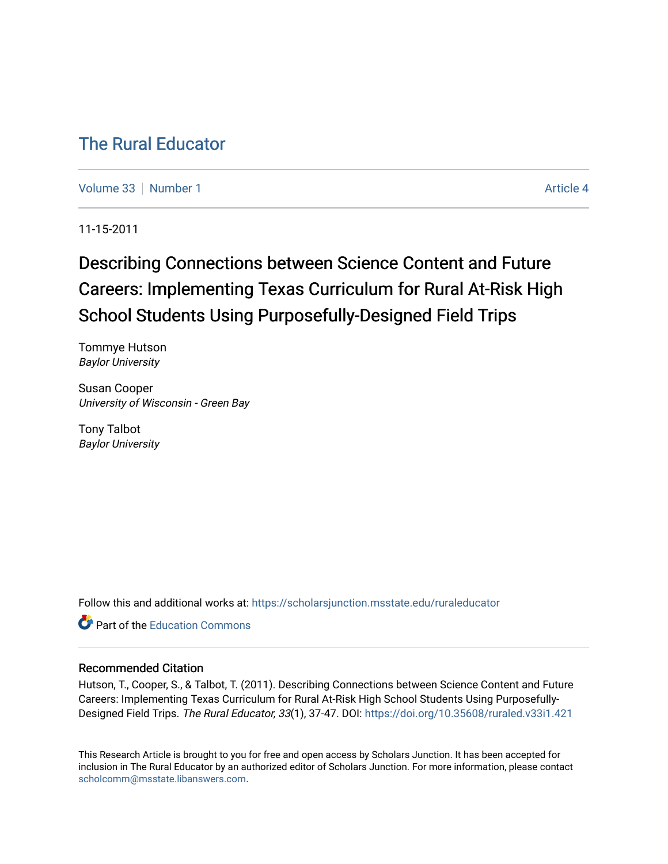# [The Rural Educator](https://scholarsjunction.msstate.edu/ruraleducator)

[Volume 33](https://scholarsjunction.msstate.edu/ruraleducator/vol33) [Number 1](https://scholarsjunction.msstate.edu/ruraleducator/vol33/iss1) [Article 4](https://scholarsjunction.msstate.edu/ruraleducator/vol33/iss1/4) Article 4

11-15-2011

# Describing Connections between Science Content and Future Careers: Implementing Texas Curriculum for Rural At-Risk High School Students Using Purposefully-Designed Field Trips

Tommye Hutson Baylor University

Susan Cooper University of Wisconsin - Green Bay

Tony Talbot Baylor University

Follow this and additional works at: [https://scholarsjunction.msstate.edu/ruraleducator](https://scholarsjunction.msstate.edu/ruraleducator?utm_source=scholarsjunction.msstate.edu%2Fruraleducator%2Fvol33%2Fiss1%2F4&utm_medium=PDF&utm_campaign=PDFCoverPages)

**C**<sup> $\bullet$ </sup> Part of the [Education Commons](http://network.bepress.com/hgg/discipline/784?utm_source=scholarsjunction.msstate.edu%2Fruraleducator%2Fvol33%2Fiss1%2F4&utm_medium=PDF&utm_campaign=PDFCoverPages)

### Recommended Citation

Hutson, T., Cooper, S., & Talbot, T. (2011). Describing Connections between Science Content and Future Careers: Implementing Texas Curriculum for Rural At-Risk High School Students Using Purposefully-Designed Field Trips. The Rural Educator, 33(1), 37-47. DOI: <https://doi.org/10.35608/ruraled.v33i1.421>

This Research Article is brought to you for free and open access by Scholars Junction. It has been accepted for inclusion in The Rural Educator by an authorized editor of Scholars Junction. For more information, please contact [scholcomm@msstate.libanswers.com.](mailto:scholcomm@msstate.libanswers.com)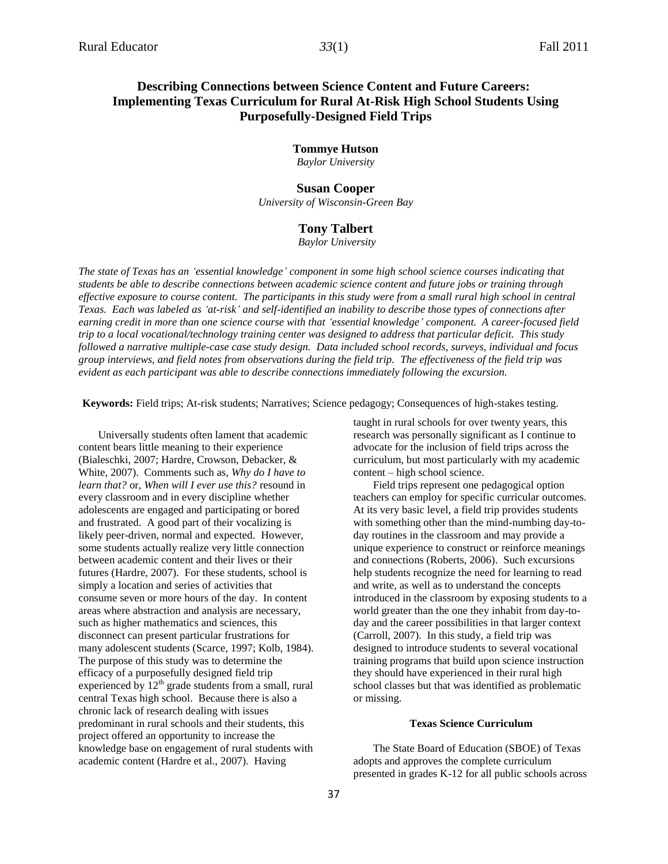## **Describing Connections between Science Content and Future Careers: Implementing Texas Curriculum for Rural At-Risk High School Students Using Purposefully-Designed Field Trips**

**Tommye Hutson** 

*Baylor University*

#### **Susan Cooper**

*University of Wisconsin-Green Bay*

#### **Tony Talbert**

*Baylor University*

*The state of Texas has an 'essential knowledge' component in some high school science courses indicating that students be able to describe connections between academic science content and future jobs or training through effective exposure to course content. The participants in this study were from a small rural high school in central Texas. Each was labeled as 'at-risk' and self-identified an inability to describe those types of connections after earning credit in more than one science course with that 'essential knowledge' component. A career-focused field trip to a local vocational/technology training center was designed to address that particular deficit. This study followed a narrative multiple-case case study design. Data included school records, surveys, individual and focus group interviews, and field notes from observations during the field trip. The effectiveness of the field trip was evident as each participant was able to describe connections immediately following the excursion.*

**Keywords:** Field trips; At-risk students; Narratives; Science pedagogy; Consequences of high-stakes testing.

Universally students often lament that academic content bears little meaning to their experience (Bialeschki, 2007; Hardre, Crowson, Debacker, & White, 2007). Comments such as, *Why do I have to learn that?* or, *When will I ever use this?* resound in every classroom and in every discipline whether adolescents are engaged and participating or bored and frustrated. A good part of their vocalizing is likely peer-driven, normal and expected. However, some students actually realize very little connection between academic content and their lives or their futures (Hardre, 2007). For these students, school is simply a location and series of activities that consume seven or more hours of the day. In content areas where abstraction and analysis are necessary, such as higher mathematics and sciences, this disconnect can present particular frustrations for many adolescent students (Scarce, 1997; Kolb, 1984). The purpose of this study was to determine the efficacy of a purposefully designed field trip experienced by  $12<sup>th</sup>$  grade students from a small, rural central Texas high school. Because there is also a chronic lack of research dealing with issues predominant in rural schools and their students, this project offered an opportunity to increase the knowledge base on engagement of rural students with academic content (Hardre et al., 2007). Having

taught in rural schools for over twenty years, this research was personally significant as I continue to advocate for the inclusion of field trips across the curriculum, but most particularly with my academic content – high school science.

Field trips represent one pedagogical option teachers can employ for specific curricular outcomes. At its very basic level, a field trip provides students with something other than the mind-numbing day-today routines in the classroom and may provide a unique experience to construct or reinforce meanings and connections (Roberts, 2006). Such excursions help students recognize the need for learning to read and write, as well as to understand the concepts introduced in the classroom by exposing students to a world greater than the one they inhabit from day-today and the career possibilities in that larger context (Carroll, 2007). In this study, a field trip was designed to introduce students to several vocational training programs that build upon science instruction they should have experienced in their rural high school classes but that was identified as problematic or missing.

#### **Texas Science Curriculum**

The State Board of Education (SBOE) of Texas adopts and approves the complete curriculum presented in grades K-12 for all public schools across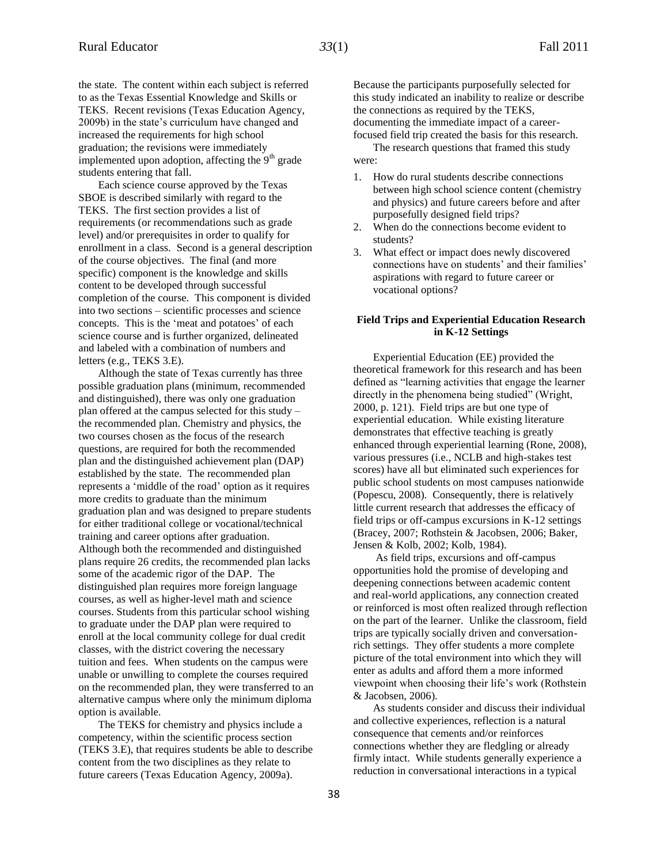the state. The content within each subject is referred to as the Texas Essential Knowledge and Skills or TEKS. Recent revisions (Texas Education Agency, 2009b) in the state's curriculum have changed and increased the requirements for high school graduation; the revisions were immediately implemented upon adoption, affecting the  $9<sup>th</sup>$  grade students entering that fall.

Each science course approved by the Texas SBOE is described similarly with regard to the TEKS. The first section provides a list of requirements (or recommendations such as grade level) and/or prerequisites in order to qualify for enrollment in a class. Second is a general description of the course objectives. The final (and more specific) component is the knowledge and skills content to be developed through successful completion of the course. This component is divided into two sections – scientific processes and science concepts. This is the 'meat and potatoes' of each science course and is further organized, delineated and labeled with a combination of numbers and letters (e.g., TEKS 3.E).

Although the state of Texas currently has three possible graduation plans (minimum, recommended and distinguished), there was only one graduation plan offered at the campus selected for this study – the recommended plan. Chemistry and physics, the two courses chosen as the focus of the research questions, are required for both the recommended plan and the distinguished achievement plan (DAP) established by the state. The recommended plan represents a 'middle of the road' option as it requires more credits to graduate than the minimum graduation plan and was designed to prepare students for either traditional college or vocational/technical training and career options after graduation. Although both the recommended and distinguished plans require 26 credits, the recommended plan lacks some of the academic rigor of the DAP. The distinguished plan requires more foreign language courses, as well as higher-level math and science courses. Students from this particular school wishing to graduate under the DAP plan were required to enroll at the local community college for dual credit classes, with the district covering the necessary tuition and fees. When students on the campus were unable or unwilling to complete the courses required on the recommended plan, they were transferred to an alternative campus where only the minimum diploma option is available.

The TEKS for chemistry and physics include a competency, within the scientific process section (TEKS 3.E), that requires students be able to describe content from the two disciplines as they relate to future careers (Texas Education Agency, 2009a).

Because the participants purposefully selected for this study indicated an inability to realize or describe the connections as required by the TEKS, documenting the immediate impact of a careerfocused field trip created the basis for this research.

The research questions that framed this study were:

- 1. How do rural students describe connections between high school science content (chemistry and physics) and future careers before and after purposefully designed field trips?
- 2. When do the connections become evident to students?
- 3. What effect or impact does newly discovered connections have on students' and their families' aspirations with regard to future career or vocational options?

#### **Field Trips and Experiential Education Research in K-12 Settings**

Experiential Education (EE) provided the theoretical framework for this research and has been defined as "learning activities that engage the learner directly in the phenomena being studied" (Wright, 2000, p. 121). Field trips are but one type of experiential education. While existing literature demonstrates that effective teaching is greatly enhanced through experiential learning (Rone, 2008), various pressures (i.e., NCLB and high-stakes test scores) have all but eliminated such experiences for public school students on most campuses nationwide (Popescu, 2008). Consequently, there is relatively little current research that addresses the efficacy of field trips or off-campus excursions in K-12 settings (Bracey, 2007; Rothstein & Jacobsen, 2006; Baker, Jensen & Kolb, 2002; Kolb, 1984).

As field trips, excursions and off-campus opportunities hold the promise of developing and deepening connections between academic content and real-world applications, any connection created or reinforced is most often realized through reflection on the part of the learner. Unlike the classroom, field trips are typically socially driven and conversationrich settings. They offer students a more complete picture of the total environment into which they will enter as adults and afford them a more informed viewpoint when choosing their life's work (Rothstein & Jacobsen, 2006).

As students consider and discuss their individual and collective experiences, reflection is a natural consequence that cements and/or reinforces connections whether they are fledgling or already firmly intact. While students generally experience a reduction in conversational interactions in a typical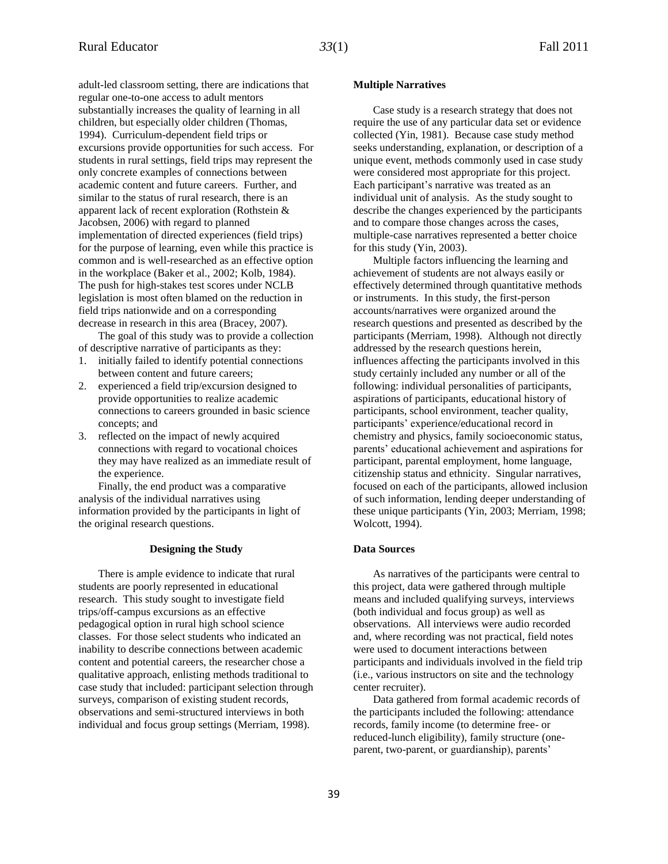adult-led classroom setting, there are indications that regular one-to-one access to adult mentors substantially increases the quality of learning in all children, but especially older children (Thomas, 1994). Curriculum-dependent field trips or excursions provide opportunities for such access. For students in rural settings, field trips may represent the only concrete examples of connections between academic content and future careers. Further, and similar to the status of rural research, there is an apparent lack of recent exploration (Rothstein & Jacobsen, 2006) with regard to planned implementation of directed experiences (field trips) for the purpose of learning, even while this practice is common and is well-researched as an effective option in the workplace (Baker et al., 2002; Kolb, 1984). The push for high-stakes test scores under NCLB legislation is most often blamed on the reduction in field trips nationwide and on a corresponding decrease in research in this area (Bracey, 2007).

The goal of this study was to provide a collection of descriptive narrative of participants as they:

- 1. initially failed to identify potential connections between content and future careers;
- 2. experienced a field trip/excursion designed to provide opportunities to realize academic connections to careers grounded in basic science concepts; and
- 3. reflected on the impact of newly acquired connections with regard to vocational choices they may have realized as an immediate result of the experience.

Finally, the end product was a comparative analysis of the individual narratives using information provided by the participants in light of the original research questions.

#### **Designing the Study**

There is ample evidence to indicate that rural students are poorly represented in educational research. This study sought to investigate field trips/off-campus excursions as an effective pedagogical option in rural high school science classes. For those select students who indicated an inability to describe connections between academic content and potential careers, the researcher chose a qualitative approach, enlisting methods traditional to case study that included: participant selection through surveys, comparison of existing student records, observations and semi-structured interviews in both individual and focus group settings (Merriam, 1998).

#### **Multiple Narratives**

Case study is a research strategy that does not require the use of any particular data set or evidence collected (Yin, 1981). Because case study method seeks understanding, explanation, or description of a unique event, methods commonly used in case study were considered most appropriate for this project. Each participant's narrative was treated as an individual unit of analysis. As the study sought to describe the changes experienced by the participants and to compare those changes across the cases, multiple-case narratives represented a better choice for this study (Yin, 2003).

Multiple factors influencing the learning and achievement of students are not always easily or effectively determined through quantitative methods or instruments. In this study, the first-person accounts/narratives were organized around the research questions and presented as described by the participants (Merriam, 1998). Although not directly addressed by the research questions herein, influences affecting the participants involved in this study certainly included any number or all of the following: individual personalities of participants, aspirations of participants, educational history of participants, school environment, teacher quality, participants' experience/educational record in chemistry and physics, family socioeconomic status, parents' educational achievement and aspirations for participant, parental employment, home language, citizenship status and ethnicity. Singular narratives, focused on each of the participants, allowed inclusion of such information, lending deeper understanding of these unique participants (Yin, 2003; Merriam, 1998; Wolcott, 1994).

#### **Data Sources**

As narratives of the participants were central to this project, data were gathered through multiple means and included qualifying surveys, interviews (both individual and focus group) as well as observations. All interviews were audio recorded and, where recording was not practical, field notes were used to document interactions between participants and individuals involved in the field trip (i.e., various instructors on site and the technology center recruiter).

Data gathered from formal academic records of the participants included the following: attendance records, family income (to determine free- or reduced-lunch eligibility), family structure (oneparent, two-parent, or guardianship), parents'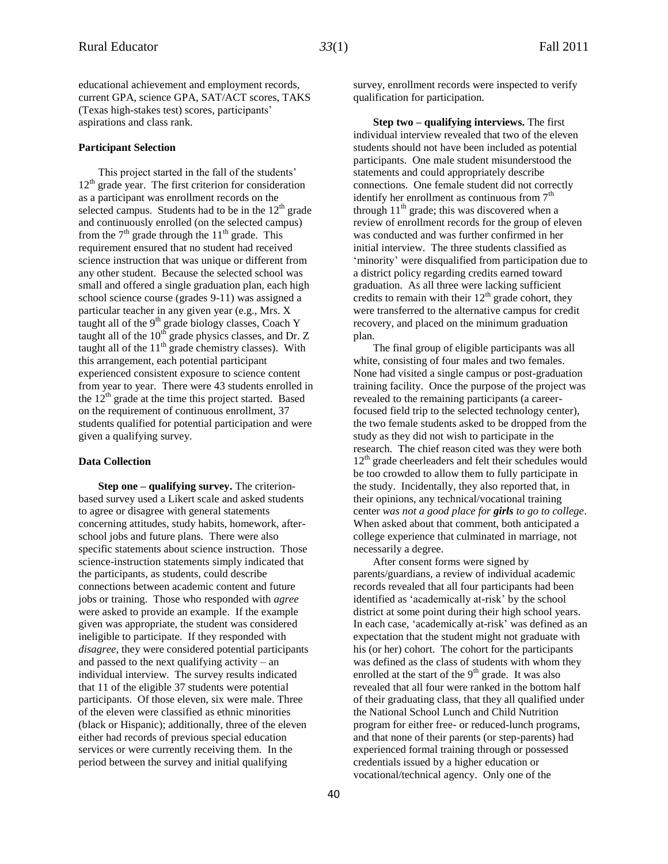educational achievement and employment records, current GPA, science GPA, SAT/ACT scores, TAKS (Texas high-stakes test) scores, participants' aspirations and class rank.

#### **Participant Selection**

This project started in the fall of the students'  $12<sup>th</sup>$  grade year. The first criterion for consideration as a participant was enrollment records on the selected campus. Students had to be in the  $12<sup>th</sup>$  grade and continuously enrolled (on the selected campus) from the  $7<sup>th</sup>$  grade through the  $11<sup>th</sup>$  grade. This requirement ensured that no student had received science instruction that was unique or different from any other student. Because the selected school was small and offered a single graduation plan, each high school science course (grades 9-11) was assigned a particular teacher in any given year (e.g., Mrs. X taught all of the  $9<sup>th</sup>$  grade biology classes, Coach Y taught all of the  $10^{th}$  grade physics classes, and Dr. Z taught all of the  $11<sup>th</sup>$  grade chemistry classes). With this arrangement, each potential participant experienced consistent exposure to science content from year to year. There were 43 students enrolled in the  $12<sup>th</sup>$  grade at the time this project started. Based on the requirement of continuous enrollment, 37 students qualified for potential participation and were given a qualifying survey.

#### **Data Collection**

**Step one – qualifying survey.** The criterionbased survey used a Likert scale and asked students to agree or disagree with general statements concerning attitudes, study habits, homework, afterschool jobs and future plans. There were also specific statements about science instruction. Those science-instruction statements simply indicated that the participants, as students, could describe connections between academic content and future jobs or training. Those who responded with *agree* were asked to provide an example. If the example given was appropriate, the student was considered ineligible to participate. If they responded with *disagree*, they were considered potential participants and passed to the next qualifying activity – an individual interview. The survey results indicated that 11 of the eligible 37 students were potential participants. Of those eleven, six were male. Three of the eleven were classified as ethnic minorities (black or Hispanic); additionally, three of the eleven either had records of previous special education services or were currently receiving them. In the period between the survey and initial qualifying

survey, enrollment records were inspected to verify qualification for participation.

**Step two – qualifying interviews.** The first individual interview revealed that two of the eleven students should not have been included as potential participants. One male student misunderstood the statements and could appropriately describe connections. One female student did not correctly identify her enrollment as continuous from  $7<sup>th</sup>$ through  $11<sup>th</sup>$  grade; this was discovered when a review of enrollment records for the group of eleven was conducted and was further confirmed in her initial interview. The three students classified as 'minority' were disqualified from participation due to a district policy regarding credits earned toward graduation. As all three were lacking sufficient credits to remain with their  $12<sup>th</sup>$  grade cohort, they were transferred to the alternative campus for credit recovery, and placed on the minimum graduation plan.

The final group of eligible participants was all white, consisting of four males and two females. None had visited a single campus or post-graduation training facility. Once the purpose of the project was revealed to the remaining participants (a careerfocused field trip to the selected technology center), the two female students asked to be dropped from the study as they did not wish to participate in the research. The chief reason cited was they were both 12<sup>th</sup> grade cheerleaders and felt their schedules would be too crowded to allow them to fully participate in the study. Incidentally, they also reported that, in their opinions, any technical/vocational training center *was not a good place for girls to go to college*. When asked about that comment, both anticipated a college experience that culminated in marriage, not necessarily a degree.

After consent forms were signed by parents/guardians, a review of individual academic records revealed that all four participants had been identified as 'academically at-risk' by the school district at some point during their high school years. In each case, 'academically at-risk' was defined as an expectation that the student might not graduate with his (or her) cohort. The cohort for the participants was defined as the class of students with whom they enrolled at the start of the  $9<sup>th</sup>$  grade. It was also revealed that all four were ranked in the bottom half of their graduating class, that they all qualified under the National School Lunch and Child Nutrition program for either free- or reduced-lunch programs, and that none of their parents (or step-parents) had experienced formal training through or possessed credentials issued by a higher education or vocational/technical agency. Only one of the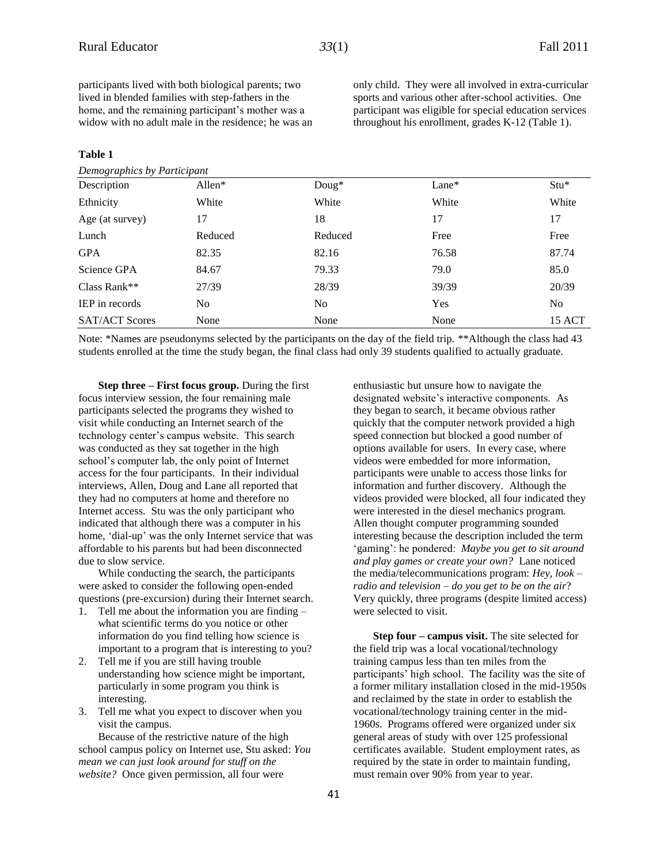participants lived with both biological parents; two lived in blended families with step-fathers in the home, and the remaining participant's mother was a widow with no adult male in the residence; he was an

#### **Table 1**

*Demographics by Participant*

only child. They were all involved in extra-curricular sports and various other after-school activities. One participant was eligible for special education services throughout his enrollment, grades K-12 (Table 1).

| $D$ chio $\chi$ ruphics by Furncipum |           |                |         |                |
|--------------------------------------|-----------|----------------|---------|----------------|
| Description                          | Allen $*$ | $Doug*$        | $Lane*$ | $Stu*$         |
| Ethnicity                            | White     | White          | White   | White          |
| Age (at survey)                      | 17        | 18             | 17      | 17             |
| Lunch                                | Reduced   | Reduced        | Free    | Free           |
| <b>GPA</b>                           | 82.35     | 82.16          | 76.58   | 87.74          |
| Science GPA                          | 84.67     | 79.33          | 79.0    | 85.0           |
| Class Rank**                         | 27/39     | 28/39          | 39/39   | 20/39          |
| <b>IEP</b> in records                | No        | N <sub>0</sub> | Yes     | N <sub>o</sub> |
| <b>SAT/ACT Scores</b>                | None      | None           | None    | 15 ACT         |
|                                      |           |                |         |                |

Note: \*Names are pseudonyms selected by the participants on the day of the field trip. \*\*Although the class had 43 students enrolled at the time the study began, the final class had only 39 students qualified to actually graduate.

**Step three – First focus group.** During the first focus interview session, the four remaining male participants selected the programs they wished to visit while conducting an Internet search of the technology center's campus website. This search was conducted as they sat together in the high school's computer lab, the only point of Internet access for the four participants. In their individual interviews, Allen, Doug and Lane all reported that they had no computers at home and therefore no Internet access. Stu was the only participant who indicated that although there was a computer in his home, 'dial-up' was the only Internet service that was affordable to his parents but had been disconnected due to slow service.

While conducting the search, the participants were asked to consider the following open-ended questions (pre-excursion) during their Internet search.

- 1. Tell me about the information you are finding what scientific terms do you notice or other information do you find telling how science is important to a program that is interesting to you?
- 2. Tell me if you are still having trouble understanding how science might be important, particularly in some program you think is interesting.
- 3. Tell me what you expect to discover when you visit the campus.

Because of the restrictive nature of the high school campus policy on Internet use, Stu asked: *You mean we can just look around for stuff on the website?* Once given permission, all four were

enthusiastic but unsure how to navigate the designated website's interactive components. As they began to search, it became obvious rather quickly that the computer network provided a high speed connection but blocked a good number of options available for users. In every case, where videos were embedded for more information, participants were unable to access those links for information and further discovery. Although the videos provided were blocked, all four indicated they were interested in the diesel mechanics program. Allen thought computer programming sounded interesting because the description included the term 'gaming': he pondered: *Maybe you get to sit around and play games or create your own?* Lane noticed the media/telecommunications program: *Hey, look – radio and television – do you get to be on the air*? Very quickly, three programs (despite limited access) were selected to visit.

**Step four – campus visit.** The site selected for the field trip was a local vocational/technology training campus less than ten miles from the participants' high school. The facility was the site of a former military installation closed in the mid-1950s and reclaimed by the state in order to establish the vocational/technology training center in the mid-1960s. Programs offered were organized under six general areas of study with over 125 professional certificates available. Student employment rates, as required by the state in order to maintain funding, must remain over 90% from year to year.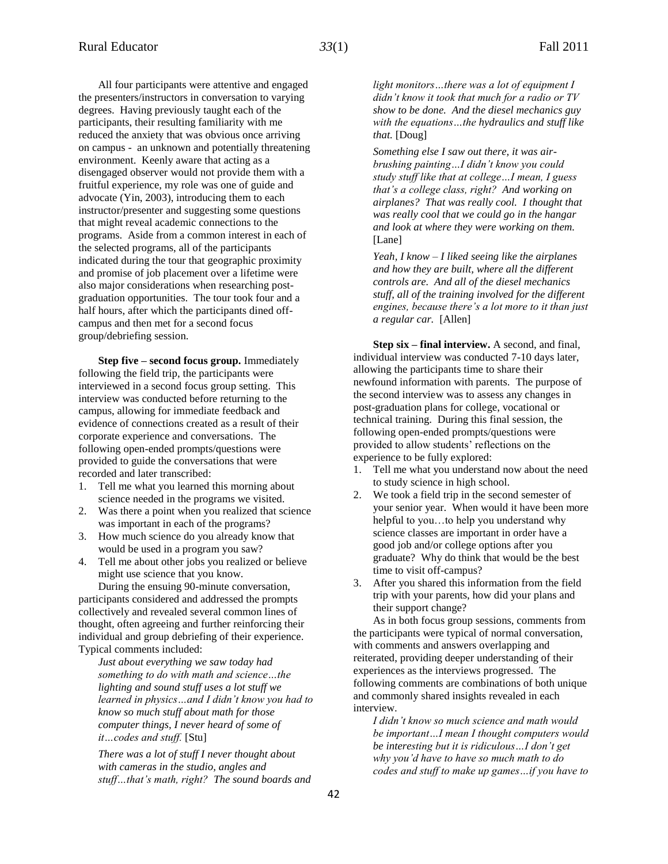All four participants were attentive and engaged the presenters/instructors in conversation to varying degrees. Having previously taught each of the participants, their resulting familiarity with me reduced the anxiety that was obvious once arriving on campus - an unknown and potentially threatening environment. Keenly aware that acting as a disengaged observer would not provide them with a fruitful experience, my role was one of guide and advocate (Yin, 2003), introducing them to each instructor/presenter and suggesting some questions that might reveal academic connections to the programs. Aside from a common interest in each of the selected programs, all of the participants indicated during the tour that geographic proximity and promise of job placement over a lifetime were also major considerations when researching postgraduation opportunities. The tour took four and a half hours, after which the participants dined offcampus and then met for a second focus group/debriefing session.

**Step five – second focus group.** Immediately following the field trip, the participants were interviewed in a second focus group setting. This interview was conducted before returning to the campus, allowing for immediate feedback and evidence of connections created as a result of their corporate experience and conversations. The following open-ended prompts/questions were provided to guide the conversations that were recorded and later transcribed:

- 1. Tell me what you learned this morning about science needed in the programs we visited.
- 2. Was there a point when you realized that science was important in each of the programs?
- 3. How much science do you already know that would be used in a program you saw?
- 4. Tell me about other jobs you realized or believe might use science that you know.

During the ensuing 90-minute conversation, participants considered and addressed the prompts collectively and revealed several common lines of thought, often agreeing and further reinforcing their individual and group debriefing of their experience. Typical comments included:

*Just about everything we saw today had something to do with math and science…the lighting and sound stuff uses a lot stuff we learned in physics…and I didn't know you had to know so much stuff about math for those computer things, I never heard of some of it…codes and stuff.* [Stu]

*There was a lot of stuff I never thought about with cameras in the studio, angles and stuff…that's math, right? The sound boards and*  *light monitors…there was a lot of equipment I didn't know it took that much for a radio or TV show to be done. And the diesel mechanics guy with the equations…the hydraulics and stuff like that.* [Doug]

*Something else I saw out there, it was airbrushing painting…I didn't know you could study stuff like that at college…I mean, I guess that's a college class, right? And working on airplanes? That was really cool. I thought that was really cool that we could go in the hangar and look at where they were working on them.* [Lane]

*Yeah, I know – I liked seeing like the airplanes and how they are built, where all the different controls are. And all of the diesel mechanics stuff, all of the training involved for the different engines, because there's a lot more to it than just a regular car.* [Allen]

**Step six – final interview.** A second, and final, individual interview was conducted 7-10 days later, allowing the participants time to share their newfound information with parents. The purpose of the second interview was to assess any changes in post-graduation plans for college, vocational or technical training. During this final session, the following open-ended prompts/questions were provided to allow students' reflections on the experience to be fully explored:

- 1. Tell me what you understand now about the need to study science in high school.
- 2. We took a field trip in the second semester of your senior year. When would it have been more helpful to you…to help you understand why science classes are important in order have a good job and/or college options after you graduate? Why do think that would be the best time to visit off-campus?
- 3. After you shared this information from the field trip with your parents, how did your plans and their support change?

As in both focus group sessions, comments from the participants were typical of normal conversation, with comments and answers overlapping and reiterated, providing deeper understanding of their experiences as the interviews progressed. The following comments are combinations of both unique and commonly shared insights revealed in each interview.

*I didn't know so much science and math would be important…I mean I thought computers would be interesting but it is ridiculous…I don't get why you'd have to have so much math to do codes and stuff to make up games…if you have to*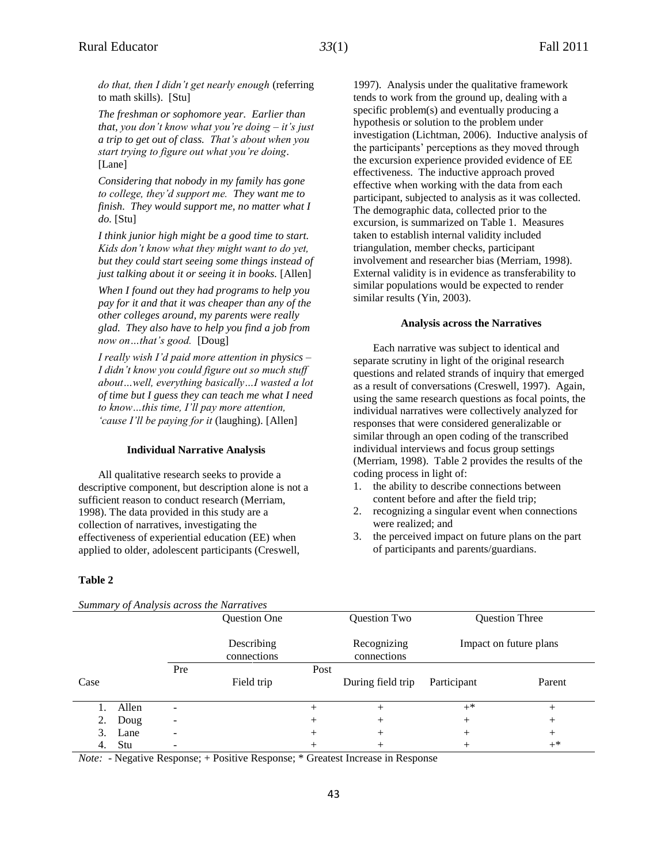*do that, then I didn't get nearly enough* (referring to math skills). [Stu]

*The freshman or sophomore year. Earlier than that, you don't know what you're doing – it's just a trip to get out of class. That's about when you start trying to figure out what you're doing*. [Lane]

*Considering that nobody in my family has gone to college, they'd support me. They want me to finish. They would support me, no matter what I do.* [Stu]

*I think junior high might be a good time to start. Kids don't know what they might want to do yet, but they could start seeing some things instead of just talking about it or seeing it in books.* [Allen]

*When I found out they had programs to help you pay for it and that it was cheaper than any of the other colleges around, my parents were really glad. They also have to help you find a job from now on…that's good.* [Doug]

*I really wish I'd paid more attention in physics – I didn't know you could figure out so much stuff about…well, everything basically…I wasted a lot of time but I guess they can teach me what I need to know…this time, I'll pay more attention, 'cause I'll be paying for it* (laughing). [Allen]

#### **Individual Narrative Analysis**

All qualitative research seeks to provide a descriptive component, but description alone is not a sufficient reason to conduct research (Merriam, 1998). The data provided in this study are a collection of narratives, investigating the effectiveness of experiential education (EE) when applied to older, adolescent participants (Creswell,

1997). Analysis under the qualitative framework tends to work from the ground up, dealing with a specific problem(s) and eventually producing a hypothesis or solution to the problem under investigation (Lichtman, 2006). Inductive analysis of the participants' perceptions as they moved through the excursion experience provided evidence of EE effectiveness. The inductive approach proved effective when working with the data from each participant, subjected to analysis as it was collected. The demographic data, collected prior to the excursion, is summarized on Table 1. Measures taken to establish internal validity included triangulation, member checks, participant involvement and researcher bias (Merriam, 1998). External validity is in evidence as transferability to similar populations would be expected to render similar results (Yin, 2003).

#### **Analysis across the Narratives**

Each narrative was subject to identical and separate scrutiny in light of the original research questions and related strands of inquiry that emerged as a result of conversations (Creswell, 1997). Again, using the same research questions as focal points, the individual narratives were collectively analyzed for responses that were considered generalizable or similar through an open coding of the transcribed individual interviews and focus group settings (Merriam, 1998). Table 2 provides the results of the coding process in light of:

- 1. the ability to describe connections between content before and after the field trip;
- 2. recognizing a singular event when connections were realized; and
- 3. the perceived impact on future plans on the part of participants and parents/guardians.

#### **Table 2**

| Summary of Analysis across the Narratives |       |                              |                           |        |                            |             |                        |  |  |
|-------------------------------------------|-------|------------------------------|---------------------------|--------|----------------------------|-------------|------------------------|--|--|
|                                           |       |                              | <b>Ouestion One</b>       |        | Question Two               |             | <b>Question Three</b>  |  |  |
|                                           |       |                              | Describing<br>connections |        | Recognizing<br>connections |             | Impact on future plans |  |  |
|                                           |       | Pre                          |                           | Post   |                            |             |                        |  |  |
| Case                                      |       |                              | Field trip                |        | During field trip          | Participant | Parent                 |  |  |
|                                           | Allen | ۰                            |                           | $^{+}$ | $^{+}$                     | $+^*$       | $^+$                   |  |  |
| 2.                                        | Doug  | $\qquad \qquad \blacksquare$ |                           | $^{+}$ | $^+$                       | $^{+}$      | $^+$                   |  |  |
| 3.                                        | Lane  | ۰                            |                           | $^{+}$ | $^+$                       | $+$         | $^{+}$                 |  |  |
| 4.                                        | Stu   | -                            |                           |        |                            | $^{+}$      | $^{+*}$                |  |  |

*Note:* - Negative Response; + Positive Response; \* Greatest Increase in Response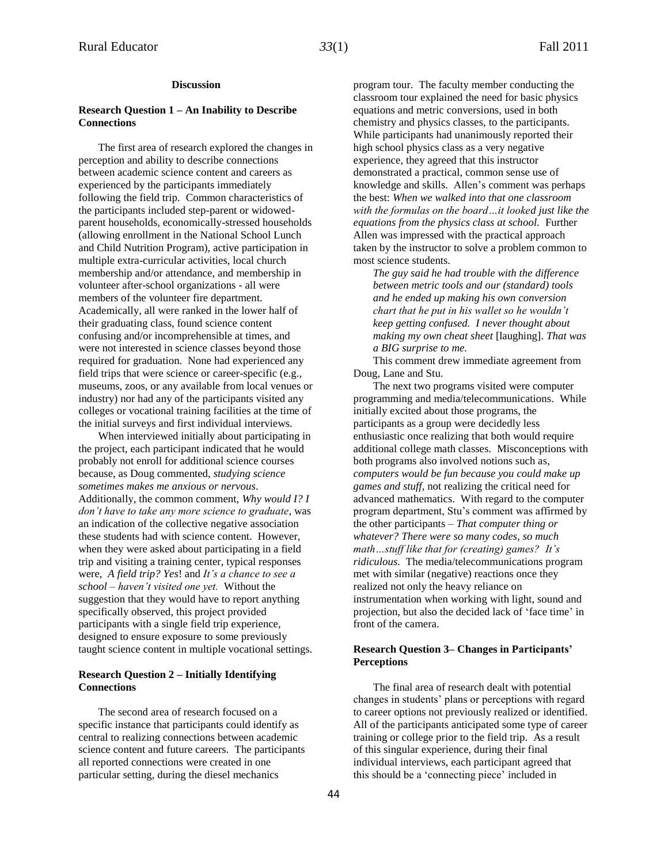#### **Discussion**

#### **Research Question 1 – An Inability to Describe Connections**

The first area of research explored the changes in perception and ability to describe connections between academic science content and careers as experienced by the participants immediately following the field trip. Common characteristics of the participants included step-parent or widowedparent households, economically-stressed households (allowing enrollment in the National School Lunch and Child Nutrition Program), active participation in multiple extra-curricular activities, local church membership and/or attendance, and membership in volunteer after-school organizations - all were members of the volunteer fire department. Academically, all were ranked in the lower half of their graduating class, found science content confusing and/or incomprehensible at times, and were not interested in science classes beyond those required for graduation. None had experienced any field trips that were science or career-specific (e.g., museums, zoos, or any available from local venues or industry) nor had any of the participants visited any colleges or vocational training facilities at the time of the initial surveys and first individual interviews.

When interviewed initially about participating in the project, each participant indicated that he would probably not enroll for additional science courses because, as Doug commented, *studying science sometimes makes me anxious or nervous*. Additionally, the common comment, *Why would I? I don't have to take any more science to graduate*, was an indication of the collective negative association these students had with science content. However, when they were asked about participating in a field trip and visiting a training center, typical responses were, *A field trip? Yes*! and *It's a chance to see a school – haven't visited one yet.* Without the suggestion that they would have to report anything specifically observed, this project provided participants with a single field trip experience, designed to ensure exposure to some previously taught science content in multiple vocational settings.

#### **Research Question 2 – Initially Identifying Connections**

The second area of research focused on a specific instance that participants could identify as central to realizing connections between academic science content and future careers. The participants all reported connections were created in one particular setting, during the diesel mechanics

program tour. The faculty member conducting the classroom tour explained the need for basic physics equations and metric conversions, used in both chemistry and physics classes, to the participants. While participants had unanimously reported their high school physics class as a very negative experience, they agreed that this instructor demonstrated a practical, common sense use of knowledge and skills. Allen's comment was perhaps the best: *When we walked into that one classroom with the formulas on the board…it looked just like the equations from the physics class at school.* Further Allen was impressed with the practical approach taken by the instructor to solve a problem common to most science students.

*The guy said he had trouble with the difference between metric tools and our (standard) tools and he ended up making his own conversion chart that he put in his wallet so he wouldn't keep getting confused. I never thought about making my own cheat sheet* [laughing]. *That was a BIG surprise to me.*

This comment drew immediate agreement from Doug, Lane and Stu.

The next two programs visited were computer programming and media/telecommunications. While initially excited about those programs, the participants as a group were decidedly less enthusiastic once realizing that both would require additional college math classes. Misconceptions with both programs also involved notions such as, *computers would be fun because you could make up games and stuff*, not realizing the critical need for advanced mathematics. With regard to the computer program department, Stu's comment was affirmed by the other participants – *That computer thing or whatever? There were so many codes, so much math…stuff like that for (creating) games? It's ridiculous.* The media/telecommunications program met with similar (negative) reactions once they realized not only the heavy reliance on instrumentation when working with light, sound and projection, but also the decided lack of 'face time' in front of the camera.

#### **Research Question 3– Changes in Participants' Perceptions**

The final area of research dealt with potential changes in students' plans or perceptions with regard to career options not previously realized or identified. All of the participants anticipated some type of career training or college prior to the field trip. As a result of this singular experience, during their final individual interviews, each participant agreed that this should be a 'connecting piece' included in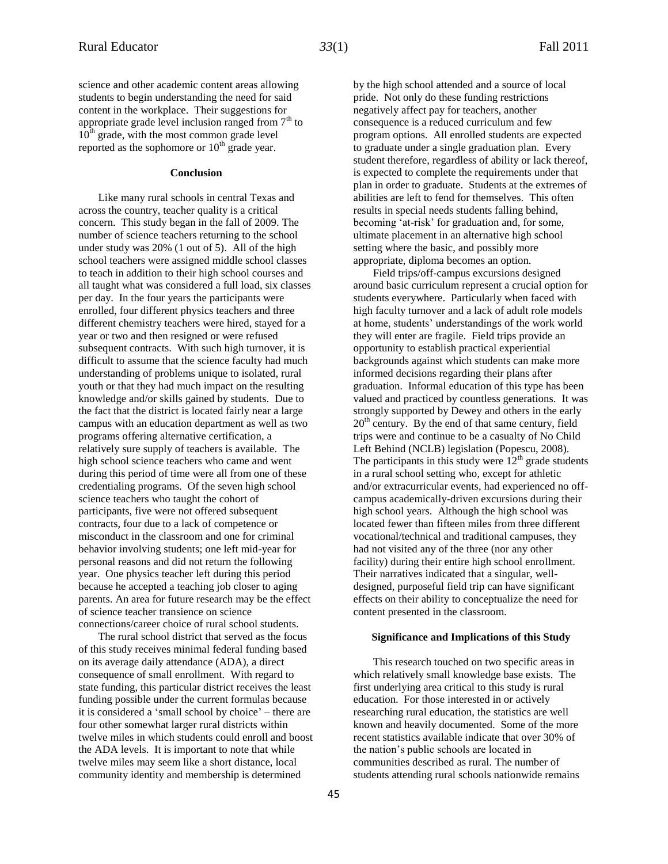science and other academic content areas allowing students to begin understanding the need for said content in the workplace. Their suggestions for appropriate grade level inclusion ranged from  $7<sup>th</sup>$  to  $10<sup>th</sup>$  grade, with the most common grade level reported as the sophomore or  $10<sup>th</sup>$  grade year.

#### **Conclusion**

Like many rural schools in central Texas and across the country, teacher quality is a critical concern. This study began in the fall of 2009. The number of science teachers returning to the school under study was 20% (1 out of 5). All of the high school teachers were assigned middle school classes to teach in addition to their high school courses and all taught what was considered a full load, six classes per day. In the four years the participants were enrolled, four different physics teachers and three different chemistry teachers were hired, stayed for a year or two and then resigned or were refused subsequent contracts. With such high turnover, it is difficult to assume that the science faculty had much understanding of problems unique to isolated, rural youth or that they had much impact on the resulting knowledge and/or skills gained by students. Due to the fact that the district is located fairly near a large campus with an education department as well as two programs offering alternative certification, a relatively sure supply of teachers is available. The high school science teachers who came and went during this period of time were all from one of these credentialing programs. Of the seven high school science teachers who taught the cohort of participants, five were not offered subsequent contracts, four due to a lack of competence or misconduct in the classroom and one for criminal behavior involving students; one left mid-year for personal reasons and did not return the following year. One physics teacher left during this period because he accepted a teaching job closer to aging parents. An area for future research may be the effect of science teacher transience on science connections/career choice of rural school students.

The rural school district that served as the focus of this study receives minimal federal funding based on its average daily attendance (ADA), a direct consequence of small enrollment. With regard to state funding, this particular district receives the least funding possible under the current formulas because it is considered a 'small school by choice' – there are four other somewhat larger rural districts within twelve miles in which students could enroll and boost the ADA levels. It is important to note that while twelve miles may seem like a short distance, local community identity and membership is determined

by the high school attended and a source of local pride. Not only do these funding restrictions negatively affect pay for teachers, another consequence is a reduced curriculum and few program options. All enrolled students are expected to graduate under a single graduation plan. Every student therefore, regardless of ability or lack thereof, is expected to complete the requirements under that plan in order to graduate. Students at the extremes of abilities are left to fend for themselves. This often results in special needs students falling behind, becoming 'at-risk' for graduation and, for some, ultimate placement in an alternative high school setting where the basic, and possibly more appropriate, diploma becomes an option.

Field trips/off-campus excursions designed around basic curriculum represent a crucial option for students everywhere. Particularly when faced with high faculty turnover and a lack of adult role models at home, students' understandings of the work world they will enter are fragile. Field trips provide an opportunity to establish practical experiential backgrounds against which students can make more informed decisions regarding their plans after graduation. Informal education of this type has been valued and practiced by countless generations. It was strongly supported by Dewey and others in the early  $20<sup>th</sup>$  century. By the end of that same century, field trips were and continue to be a casualty of No Child Left Behind (NCLB) legislation (Popescu, 2008). The participants in this study were  $12<sup>th</sup>$  grade students in a rural school setting who, except for athletic and/or extracurricular events, had experienced no offcampus academically-driven excursions during their high school years. Although the high school was located fewer than fifteen miles from three different vocational/technical and traditional campuses, they had not visited any of the three (nor any other facility) during their entire high school enrollment. Their narratives indicated that a singular, welldesigned, purposeful field trip can have significant effects on their ability to conceptualize the need for content presented in the classroom.

#### **Significance and Implications of this Study**

This research touched on two specific areas in which relatively small knowledge base exists. The first underlying area critical to this study is rural education. For those interested in or actively researching rural education, the statistics are well known and heavily documented. Some of the more recent statistics available indicate that over 30% of the nation's public schools are located in communities described as rural. The number of students attending rural schools nationwide remains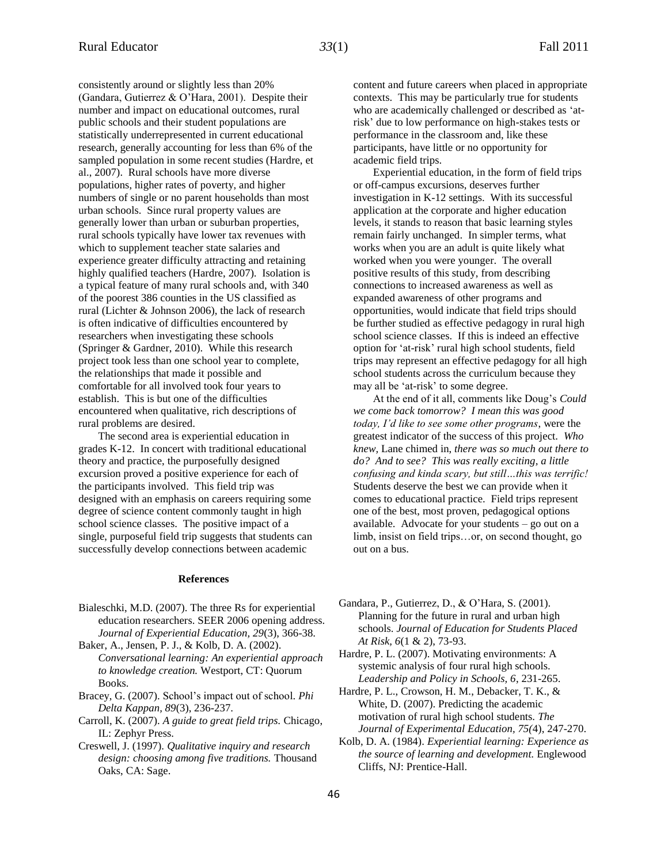consistently around or slightly less than 20% (Gandara, Gutierrez & O'Hara, 2001). Despite their number and impact on educational outcomes, rural public schools and their student populations are statistically underrepresented in current educational research, generally accounting for less than 6% of the sampled population in some recent studies (Hardre, et al., 2007). Rural schools have more diverse populations, higher rates of poverty, and higher numbers of single or no parent households than most urban schools. Since rural property values are generally lower than urban or suburban properties, rural schools typically have lower tax revenues with which to supplement teacher state salaries and experience greater difficulty attracting and retaining highly qualified teachers (Hardre, 2007). Isolation is a typical feature of many rural schools and, with 340 of the poorest 386 counties in the US classified as rural (Lichter & Johnson 2006), the lack of research is often indicative of difficulties encountered by researchers when investigating these schools (Springer & Gardner, 2010). While this research project took less than one school year to complete, the relationships that made it possible and comfortable for all involved took four years to establish. This is but one of the difficulties encountered when qualitative, rich descriptions of rural problems are desired.

The second area is experiential education in grades K-12. In concert with traditional educational theory and practice, the purposefully designed excursion proved a positive experience for each of the participants involved. This field trip was designed with an emphasis on careers requiring some degree of science content commonly taught in high school science classes. The positive impact of a single, purposeful field trip suggests that students can successfully develop connections between academic

#### **References**

- Bialeschki, M.D. (2007). The three Rs for experiential education researchers. SEER 2006 opening address. *Journal of Experiential Education, 29*(3), 366-38.
- Baker, A., Jensen, P. J., & Kolb, D. A. (2002). *Conversational learning: An experiential approach to knowledge creation.* Westport, CT: Quorum Books.
- Bracey, G. (2007). School's impact out of school. *Phi Delta Kappan, 89*(3), 236-237.
- Carroll, K. (2007). *A guide to great field trips.* Chicago, IL: Zephyr Press.
- Creswell, J. (1997). *Qualitative inquiry and research design: choosing among five traditions.* Thousand Oaks, CA: Sage.

content and future careers when placed in appropriate contexts. This may be particularly true for students who are academically challenged or described as 'atrisk' due to low performance on high-stakes tests or performance in the classroom and, like these participants, have little or no opportunity for academic field trips.

Experiential education, in the form of field trips or off-campus excursions, deserves further investigation in K-12 settings. With its successful application at the corporate and higher education levels, it stands to reason that basic learning styles remain fairly unchanged. In simpler terms, what works when you are an adult is quite likely what worked when you were younger. The overall positive results of this study, from describing connections to increased awareness as well as expanded awareness of other programs and opportunities, would indicate that field trips should be further studied as effective pedagogy in rural high school science classes. If this is indeed an effective option for 'at-risk' rural high school students, field trips may represent an effective pedagogy for all high school students across the curriculum because they may all be 'at-risk' to some degree.

At the end of it all, comments like Doug's *Could we come back tomorrow? I mean this was good today, I'd like to see some other programs*, were the greatest indicator of the success of this project. *Who knew,* Lane chimed in, *there was so much out there to do? And to see? This was really exciting, a little confusing and kinda scary, but still…this was terrific!* Students deserve the best we can provide when it comes to educational practice. Field trips represent one of the best, most proven, pedagogical options available. Advocate for your students – go out on a limb, insist on field trips…or, on second thought, go out on a bus.

- Gandara, P., Gutierrez, D., & O'Hara, S. (2001). Planning for the future in rural and urban high schools. *Journal of Education for Students Placed At Risk, 6*(1 & 2), 73-93.
- Hardre, P. L. (2007). Motivating environments: A systemic analysis of four rural high schools. *Leadership and Policy in Schools, 6*, 231-265.
- Hardre, P. L., Crowson, H. M., Debacker, T. K., & White, D. (2007). Predicting the academic motivation of rural high school students. *The Journal of Experimental Education, 75(*4), 247-270.
- Kolb, D. A. (1984). *Experiential learning: Experience as the source of learning and development.* Englewood Cliffs, NJ: Prentice-Hall.